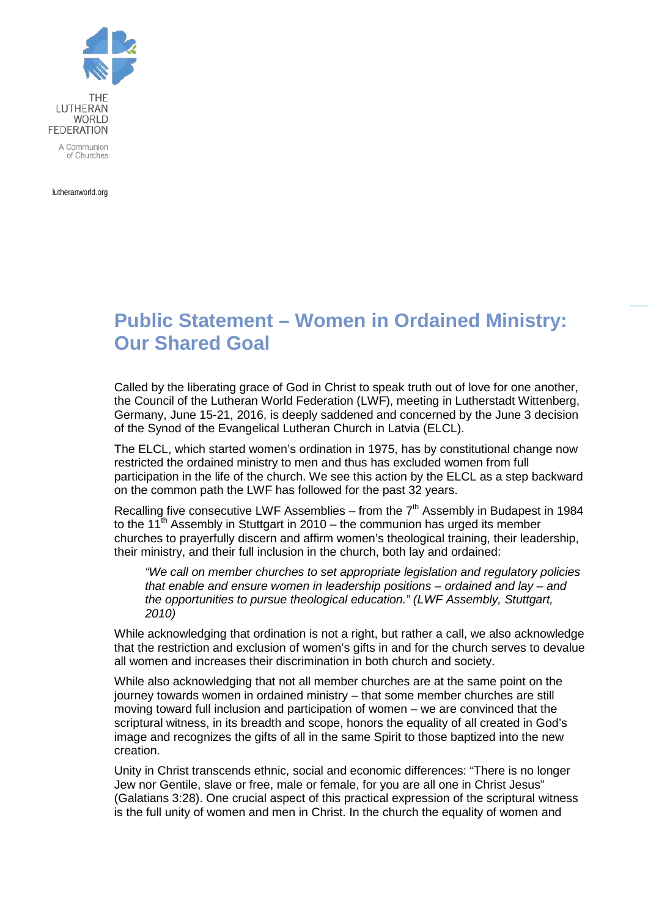

lutheranworld.org

## **Public Statement – Women in Ordained Ministry: Our Shared Goal**

Called by the liberating grace of God in Christ to speak truth out of love for one another, the Council of the Lutheran World Federation (LWF), meeting in Lutherstadt Wittenberg, Germany, June 15-21, 2016, is deeply saddened and concerned by the June 3 decision of the Synod of the Evangelical Lutheran Church in Latvia (ELCL).

The ELCL, which started women's ordination in 1975, has by constitutional change now restricted the ordained ministry to men and thus has excluded women from full participation in the life of the church. We see this action by the ELCL as a step backward on the common path the LWF has followed for the past 32 years.

Recalling five consecutive LWF Assemblies – from the  $7<sup>th</sup>$  Assembly in Budapest in 1984 to the 11<sup>th</sup> Assembly in Stuttgart in 2010 – the communion has urged its member churches to prayerfully discern and affirm women's theological training, their leadership, their ministry, and their full inclusion in the church, both lay and ordained:

*"We call on member churches to set appropriate legislation and regulatory policies that enable and ensure women in leadership positions – ordained and lay – and the opportunities to pursue theological education." (LWF Assembly, Stuttgart, 2010)*

While acknowledging that ordination is not a right, but rather a call, we also acknowledge that the restriction and exclusion of women's gifts in and for the church serves to devalue all women and increases their discrimination in both church and society.

While also acknowledging that not all member churches are at the same point on the journey towards women in ordained ministry – that some member churches are still moving toward full inclusion and participation of women – we are convinced that the scriptural witness, in its breadth and scope, honors the equality of all created in God's image and recognizes the gifts of all in the same Spirit to those baptized into the new creation.

Unity in Christ transcends ethnic, social and economic differences: "There is no longer Jew nor Gentile, slave or free, male or female, for you are all one in Christ Jesus" (Galatians 3:28). One crucial aspect of this practical expression of the scriptural witness is the full unity of women and men in Christ. In the church the equality of women and